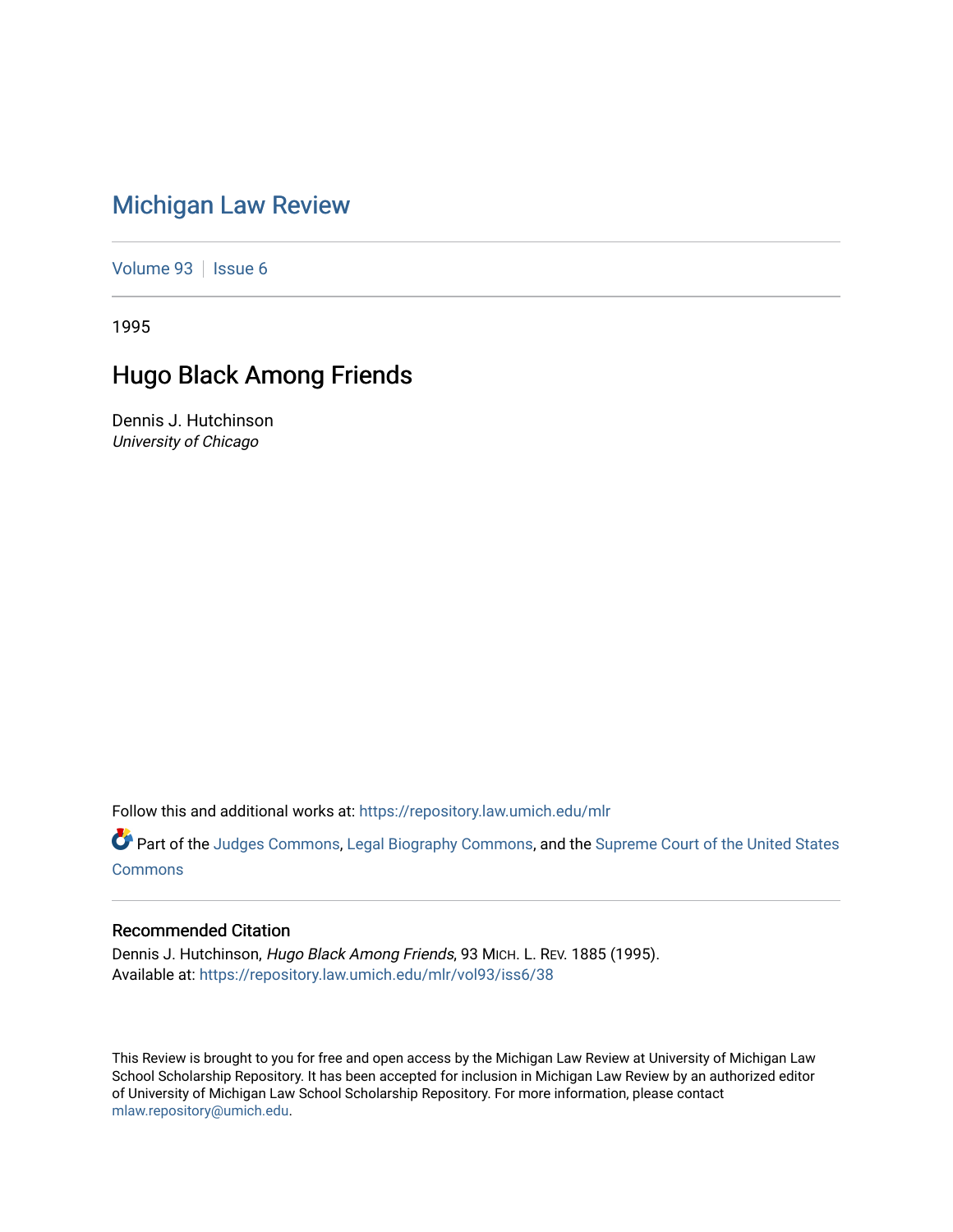# [Michigan Law Review](https://repository.law.umich.edu/mlr)

[Volume 93](https://repository.law.umich.edu/mlr/vol93) | [Issue 6](https://repository.law.umich.edu/mlr/vol93/iss6)

1995

# Hugo Black Among Friends

Dennis J. Hutchinson University of Chicago

Follow this and additional works at: [https://repository.law.umich.edu/mlr](https://repository.law.umich.edu/mlr?utm_source=repository.law.umich.edu%2Fmlr%2Fvol93%2Fiss6%2F38&utm_medium=PDF&utm_campaign=PDFCoverPages) 

Part of the [Judges Commons,](http://network.bepress.com/hgg/discipline/849?utm_source=repository.law.umich.edu%2Fmlr%2Fvol93%2Fiss6%2F38&utm_medium=PDF&utm_campaign=PDFCoverPages) [Legal Biography Commons,](http://network.bepress.com/hgg/discipline/834?utm_source=repository.law.umich.edu%2Fmlr%2Fvol93%2Fiss6%2F38&utm_medium=PDF&utm_campaign=PDFCoverPages) and the Supreme Court of the United States [Commons](http://network.bepress.com/hgg/discipline/1350?utm_source=repository.law.umich.edu%2Fmlr%2Fvol93%2Fiss6%2F38&utm_medium=PDF&utm_campaign=PDFCoverPages)

### Recommended Citation

Dennis J. Hutchinson, Hugo Black Among Friends, 93 MICH. L. REV. 1885 (1995). Available at: [https://repository.law.umich.edu/mlr/vol93/iss6/38](https://repository.law.umich.edu/mlr/vol93/iss6/38?utm_source=repository.law.umich.edu%2Fmlr%2Fvol93%2Fiss6%2F38&utm_medium=PDF&utm_campaign=PDFCoverPages) 

This Review is brought to you for free and open access by the Michigan Law Review at University of Michigan Law School Scholarship Repository. It has been accepted for inclusion in Michigan Law Review by an authorized editor of University of Michigan Law School Scholarship Repository. For more information, please contact [mlaw.repository@umich.edu.](mailto:mlaw.repository@umich.edu)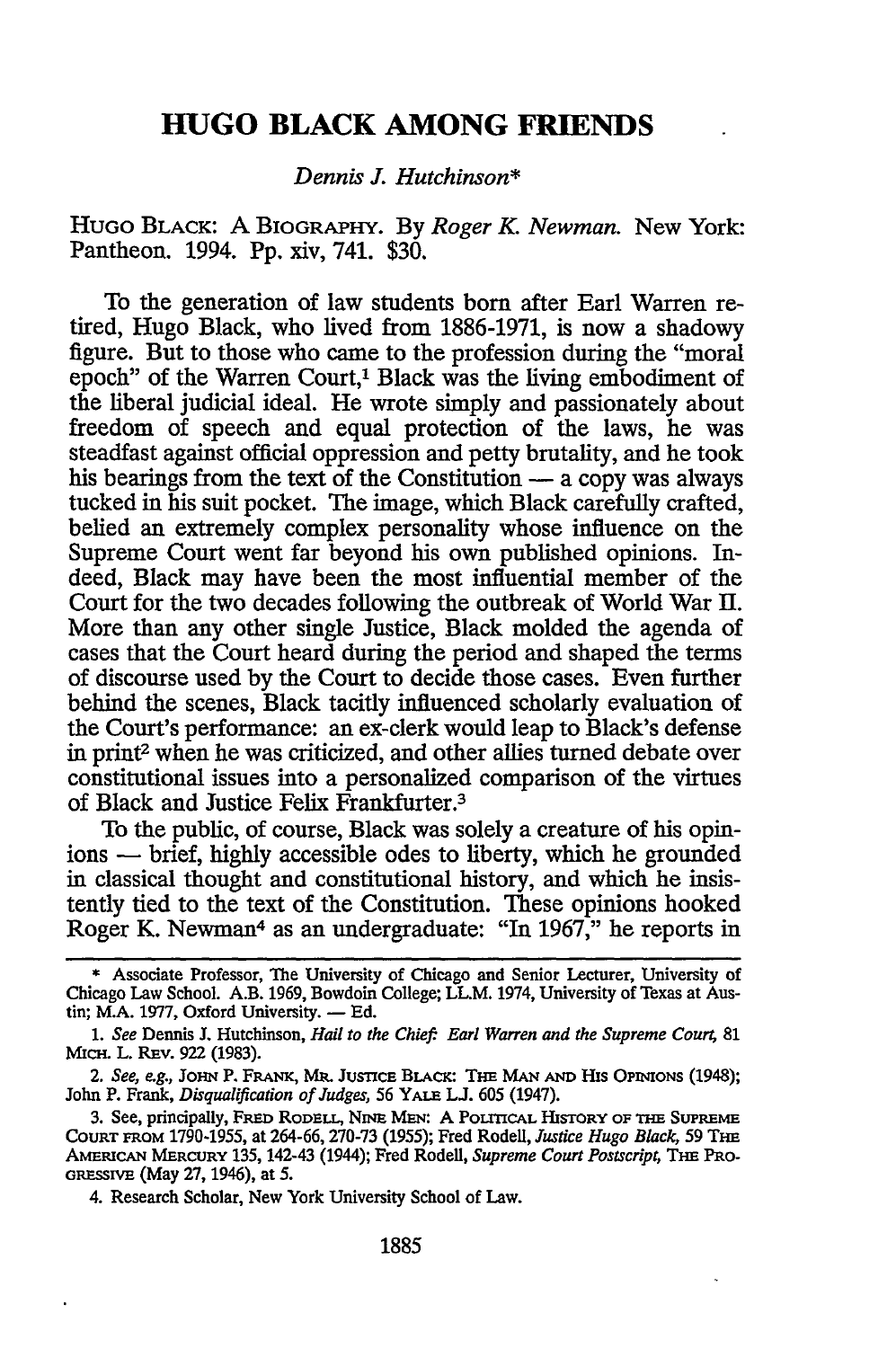### **HUGO BLACK AMONG FRIENDS**

#### *Dennis* J. *Hutchinson\**

HUGO BLACK: A BIOGRAPHY. By *Roger K. Newman.* New York: Pantheon. 1994. Pp. xiv, 741. \$30.

To the generation of law students born after Earl Warren retired, Hugo Black, who lived from 1886-1971, is now a shadowy figure. But to those who came to the profession during the "moral epoch" of the Warren Court,<sup>1</sup> Black was the living embodiment of the liberal judicial ideal. He wrote simply and passionately about freedom of speech and equal protection of the laws, he was steadfast against official oppression and petty brutality, and he took his bearings from the text of the Constitution  $-$  a copy was always tucked in his suit pocket. The image, which Black carefully crafted, belied an extremely complex personality whose influence on the Supreme Court went far beyond his own published opinions. Indeed, Black may have been the most influential member of the Court for the two decades following the outbreak of World War II. More than any other single Justice, Black molded the agenda of cases that the Court heard during the period and shaped the terms of discourse used by the Court to decide those cases. Even further behind the scenes, Black tacitly influenced scholarly evaluation of the Court's performance: an ex-clerk would leap to Black's defense in print2 when he was criticized, and other allies turned debate over constitutional issues into a personalized comparison of the virtues of Black and Justice Felix Frankfurter.3

To the public, of course, Black was solely a creature of his opinions — brief, highly accessible odes to liberty, which he grounded in classical thought and constitutional history, and which he insistently tied to the text of the Constitution. These opinions hooked Roger K. Newman4 as an undergraduate: "In 1967," he reports in

4. Research Scholar, New York University School of Law.

<sup>\*</sup> Associate Professor, The University of Chicago and Senior Lecturer, University of Chicago Law School. A.B. 1969, Bowdoin College; LL.M. 1974, University of Texas at Austin; M.A. 1977, Oxford University.  $-$  Ed.

<sup>1.</sup> *See* Dennis J. Hutchinson, *Hail to the Chief: Earl Warren and the Supreme Court,* 81 MICH. L. REv. 922 (1983}.

<sup>2.</sup> *See, e.g.,* JOHN P. FRANK, MR. JusncE BLACK: THE MAN AND His OPINIONS (1948); John P. Frank, *Disqualification of Judges,* 56 YALE LJ. 605 (1947).

<sup>3.</sup> See, principally, FRED RODELL, NINE MEN: A POLITICAL HISTORY OF THE SUPREME COURT FROM 1790-1955, at 264-66, 270-73 (1955); Fred Rodell, *Justice Hugo Black,* 59 THE AMERICAN MERCURY 135, 142-43 (1944); Fred Rodell, *Supreme Court Postscript,* THE PRO-GRESSIVE (May 27, 1946), at 5.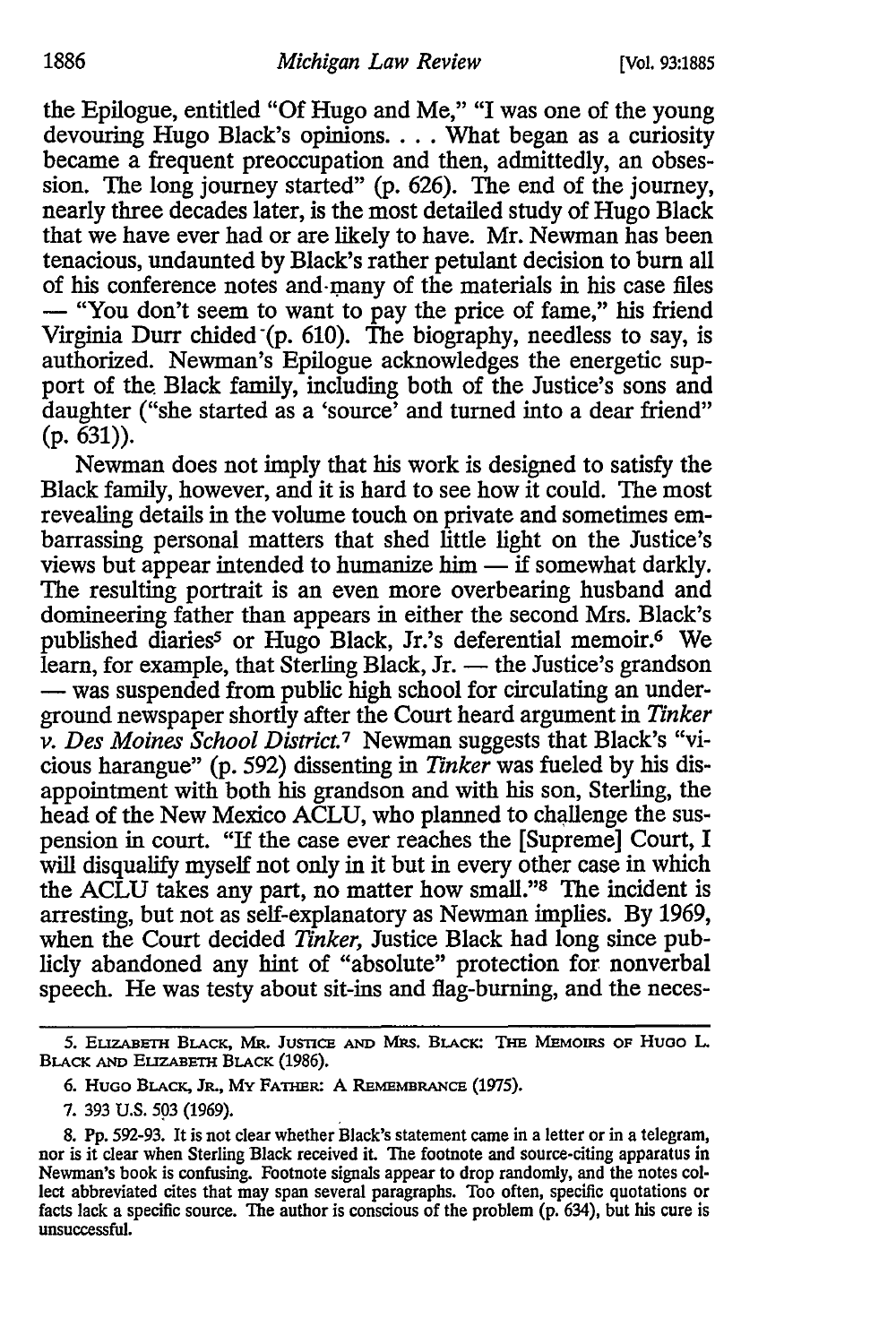the Epilogue, entitled "Of Hugo and Me," "I was one of the young devouring Hugo Black's opinions. . . . What began as a curiosity became a frequent preoccupation and then, admittedly, an obsession. The long journey started" (p. 626). The end of the journey, nearly three decades later, is the most detailed study of Hugo Black that we have ever had or are likely to have. Mr. Newman has been tenacious, undaunted by Black's rather petulant decision to bum all of his conference notes and many of the materials in his case files - "You don't seem to want to pay the price of fame," his friend Virginia Durr chided "(p. 610). The biography, needless to say, is authorized. Newman's Epilogue acknowledges the energetic support of the. Black family, including both of the Justice's sons and daughter ("she started as a 'source' and turned into a dear friend"  $(p. 631)$ .

Newman does not imply that his work is designed to satisfy the Black family, however, and it is hard to see how it could. The most revealing details in the volume touch on private and sometimes embarrassing personal matters that shed little light on the Justice's views but appear intended to humanize him  $\overline{\phantom{a}}$  if somewhat darkly. The resulting portrait is an even more overbearing husband and domineering father than appears in either the second Mrs. Black's published diaries<sup>5</sup> or Hugo Black, Jr.'s deferential memoir.<sup>6</sup> We learn, for example, that Sterling Black, Jr. — the Justice's grandson - was suspended from public high school for circulating an underground newspaper shortly after the Court heard argument in *Tinker v. Des Moines School District.*1 Newman suggests that Black's "vicious harangue" (p. 592) dissenting in *Tinker* was fueled by his disappointment with both his grandson and with his son, Sterling, the head of the New Mexico ACLU, who planned to challenge the suspension in court. "If the case ever reaches the [Supreme] Court, I will disqualify myself not only in it but in every other case in which the ACLU takes any part, no matter how small.''8 The incident is arresting, but not as self-explanatory as Newman implies. By 1969, when the Court decided *Tinker,* Justice Black had long since publicly abandoned any hint of "absolute" protection for nonverbal speech. He was testy about sit-ins and flag-burning, and the neces-

<sup>5.</sup> ELIZABETH BLACK, MR. JUSTICE AND MRS. BLACK: THE MEMOIRS OF HUGO L. BLACK AND ELIZABETH BLACK (1986).

<sup>6.</sup> HUGO BLACK, JR., MY FATHER: A REMEMBRANCE (1975).

<sup>7. 393</sup> U.S. *593* {1969).

<sup>8.</sup> Pp. 592-93. It is not clear whether Black's statement came in a Jetter or in a telegram, nor is it clear when Sterling Black received it. The footnote and source-citing apparatus in Newman's book is confusing. Footnote signals appear to drop randomly, and the notes collect abbreviated cites that may span several paragraphs. Too often, specific quotations or facts lack a specific source. The author is conscious of the problem (p. 634), but his cure is unsuccessful.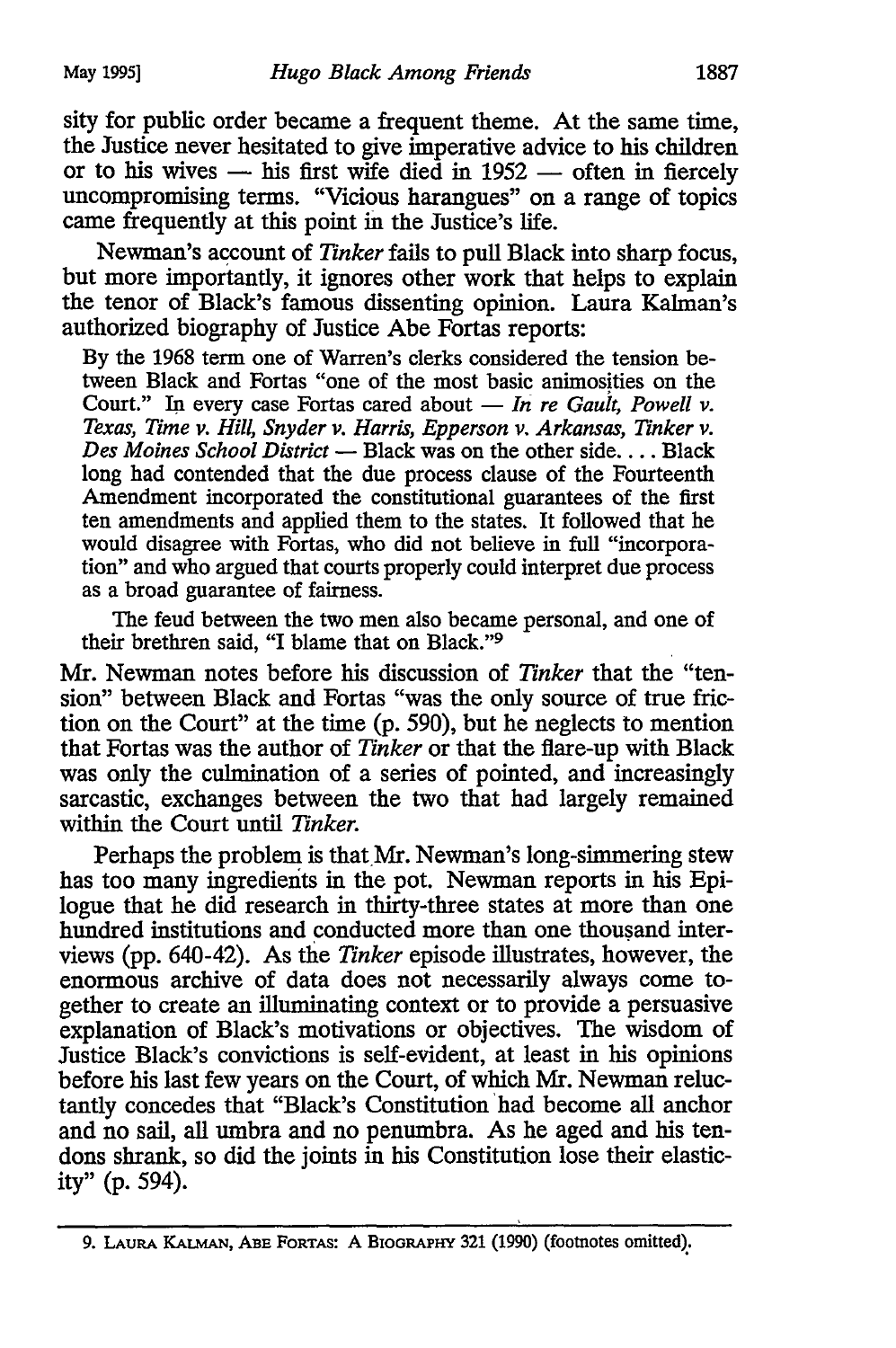sity for public order became a frequent theme. At the same time, the Justice never hesitated to give imperative advice to his children or to his wives  $-$  his first wife died in 1952  $-$  often in fiercely uncompromising terms. "Vicious harangues" on a range of topics came frequently at this point in the Justice's life.

Newman's account of *Tinker* fails to pull Black into sharp focus, but more importantly, it ignores other work that helps to explain the tenor of Black's famous dissenting opinion. Laura Kalman's authorized biography of Justice Abe Fortas reports:

By the 1968 term one of Warren's clerks considered the tension between Black and Fortas "one of the most basic animosities on the Court." In every case Fortas cared about - *In re Gault, Powell v. Texas, Time v. Hill, Snyder v. Harris, Epperson v. Arkansas, Tinker v.*  Des Moines School District - Black was on the other side. . . . Black long had contended that the due process clause of the Fourteenth Amendment incorporated the constitutional guarantees of the first ten amendments and applied them to the states. It followed that he would disagree with Fortas, who did not believe in full "incorporation" and who argued that courts properly could interpret due process as a broad guarantee of fairness.

The feud between the two men also became personal, and one of their brethren said, "I blame that on Black."<sup>9</sup>

Mr. Newman notes before his discussion of *Tinker* that the "tension" between Black and Fortas "was the only source of true friction on the Court" at the time (p. 590), but he neglects to mention that Fortas was the author of *Tinker* or that the flare-up with Black was only the culmination of a series of pointed, and increasingly sarcastic, exchanges between the two that had largely remained within the Court until *Tinker.* 

Perhaps the problem is that Mr. Newman's long-simmering stew has too many ingredients in the pot. Newman reports in his Epilogue that he did research in thirty-three states at more than one hundred institutions and conducted more than one thousand interviews (pp. 640-42). As the *Tinker* episode illustrates, however, the enormous archive of data does not necessarily always come together to create an illuminating context or to provide a persuasive explanation of Black's motivations or objectives. The wisdom of Justice Black's convictions is self-evident, at least in his opinions before his last few years on the Court, of which Mr. Newman reluctantly concedes that "Black's Constitution 'had become all anchor and no sail, all umbra and no penumbra. As he aged and his tendons shrank, so did the joints in his Constitution lose their elasticity" (p. 594).

<sup>9.</sup> LAURA KALMAN, ABE FoRTAS: A BIOGRAPHY 321 (1990) (footnotes omitted);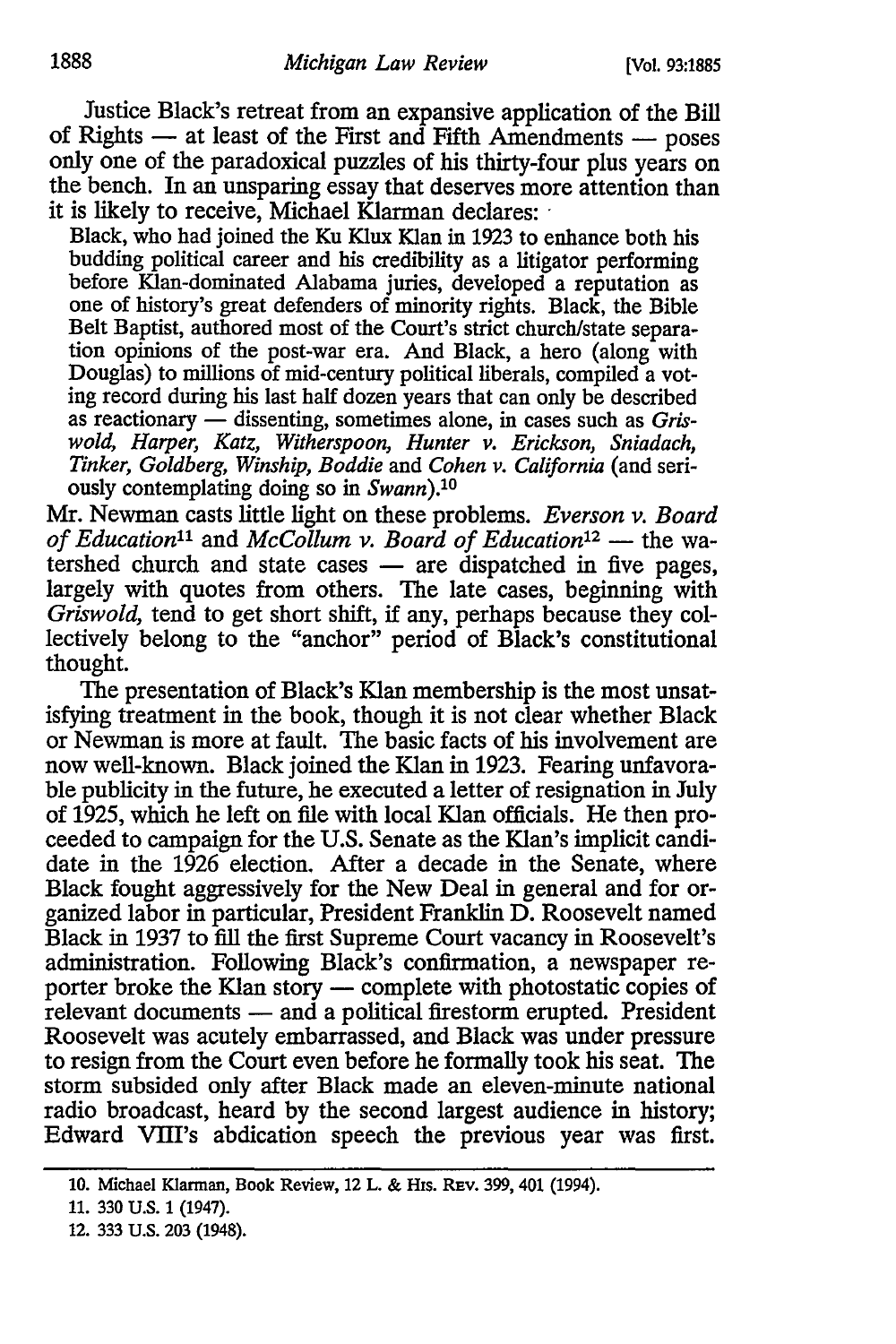Justice Black's retreat from an expansive application of the Bill of Rights  $-$  at least of the First and Fifth Amendments  $-$  poses only one of the paradoxical puzzles of his thirty-four plus years on the bench. In an unsparing essay that deserves more attention than it is likely to receive, Michael Klarman declares:

Black, who had joined the Ku Klux Klan in 1923 to enhance both his budding political career and his credibility as a litigator performing before Klan-dominated Alabama juries, developed a reputation as one of history's great defenders of minority rights. Black, the Bible Belt Baptist, authored most of the Court's strict church/state separation opinions of the post-war era. And Black, a hero (along with Douglas) to millions of mid-century political liberals, compiled a voting record during his last half dozen years that can only be described as reactionary - dissenting, sometimes alone, in cases such as *Griswold, Harper, Katz, Witherspoon, Hunter v. Erickson, Sniadach, Tinker, Goldberg, Winship, Boddie* and *Cohen v. California* (and seriously contemplating doing so in *Swann).10* 

Mr. Newman casts little light on these problems. *Everson v. Board of Education*<sup>11</sup> and *McCollum v. Board of Education*<sup>12</sup> - the watershed church and state cases — are dispatched in five pages, largely with quotes from others. The late cases, beginning with *Griswold,* tend to get short shift, if any, perhaps because they collectively belong to the "anchor" period of Black's constitutional thought.

The presentation of Black's Klan membership is the most unsatisfying treatment in the book, though it is not clear whether Black or Newman is more at fault. The basic facts of his involvement are now well-known. Black joined the Klan in 1923. Fearing unfavorable publicity in the future, he executed a letter of resignation in July of 1925, which he left on file with local Klan officials. He then proceeded to campaign for the U.S. Senate as the Klan's implicit candidate in the 1926 election. After a decade in the Senate, where Black fought aggressively for the New Deal in general and for organized labor in particular, President Franklin D. Roosevelt named Black in 1937 to fill the first Supreme Court vacancy in Roosevelt's administration. Following Black's confirmation, a newspaper reporter broke the Klan story - complete with photostatic copies of relevant documents - and a political firestorm erupted. President Roosevelt was acutely embarrassed, and Black was under pressure to resign from the Court even before he formally took his seat. The storm subsided only after Black made an eleven-minute national radio broadcast, heard by the second largest audience in history; Edward VIII's abdication speech the previous year was first.

<sup>10.</sup> Michael Klarman, Book Review, 12 L. & His. REv. 399, 401 (1994).

<sup>11. 330</sup> U.S. 1 (1947).

<sup>12. 333</sup> U.S. 203 {1948).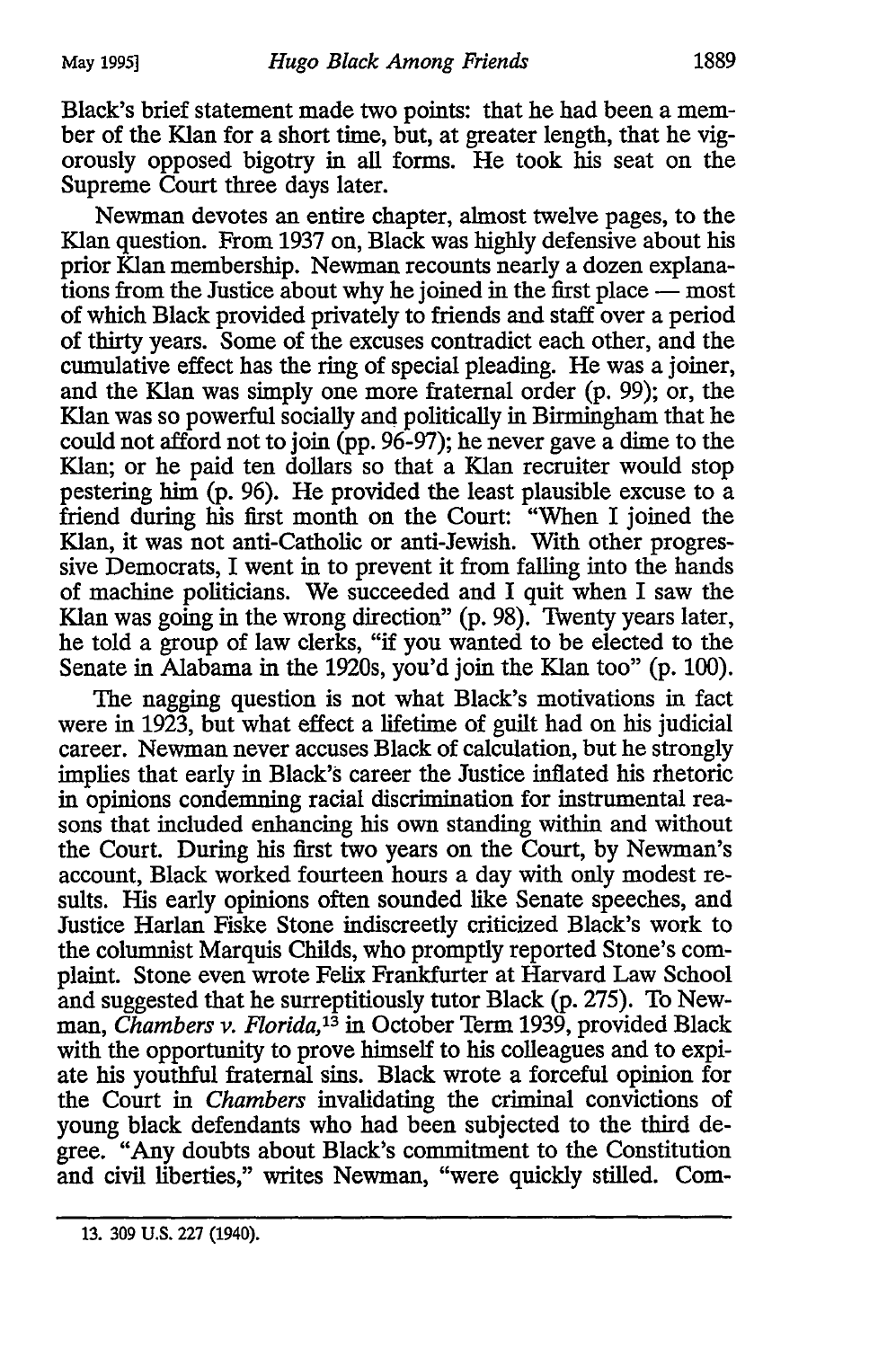Black's brief statement made two points: that he had been a member of the Klan for a short time, but, at greater length, that he vigorously opposed bigotry in all forms. He took his seat on the Supreme Court three days later.

Newman devotes an entire chapter, almost twelve pages, to the Klan question. From 1937 on, Black was highly defensive about his prior Klan membership. Newman recounts nearly a dozen explanations from the Justice about why he joined in the first place  $-\overline{\phantom{a}}$  most of which Black provided privately to friends and staff over a period of thirty years. Some of the excuses contradict each other, and the cumulative effect has the ring of special pleading. He was a joiner, and the Klan was simply one more fraternal order (p. 99); or, the Klan was so powerful socially and politically in Birmingham that he could not afford not to join (pp. 96-97); he never gave a dime to the Klan; or he paid ten dollars so that a Klan recruiter would stop pestering him (p. 96). He provided the least plausible excuse to a friend during his first month on the Court: "When I joined the Klan, it was not anti-Catholic or anti-Jewish. With other progressive Democrats, I went in to prevent it from falling into the hands of machine politicians. We succeeded and I quit when I saw the Klan was going in the wrong direction" (p. 98). Twenty years later, he told a group of law clerks, "if you wanted to be elected to the Senate in Alabama in the 1920s, you'd join the Klan too" (p. 100).

The nagging question is not what Black's motivations in fact were in 1923, but what effect a lifetime of guilt had on his judicial career. Newman never accuses Black of calculation, but he strongly implies that early in Black's career the Justice inflated his rhetoric in opinions condemning racial discrimination for instrumental reasons that included enhancing his own standing within and without the Court. During his first two years on the Court, by Newman's account, Black worked fourteen hours a day with only modest results. His early opinions often sounded like Senate speeches, and Justice Harlan Fiske Stone indiscreetly criticized Black's work to the columnist Marquis Childs, who promptly reported Stone's complaint. Stone even wrote Felix Frankfurter at Harvard Law School and suggested that he surreptitiously tutor Black (p. 275). To Newman, *Chambers v. Florida, <sup>13</sup>*in October Term 1939, provided Black with the opportunity to prove himself to his colleagues and to expiate his youthful fraternal sins. Black wrote a forceful opinion for the Court in *Chambers* invalidating the criminal convictions of young black defendants who had been subjected to the third degree. "Any doubts about Black's commitment to the Constitution and civil liberties," writes Newman, "were quickly stilled. Com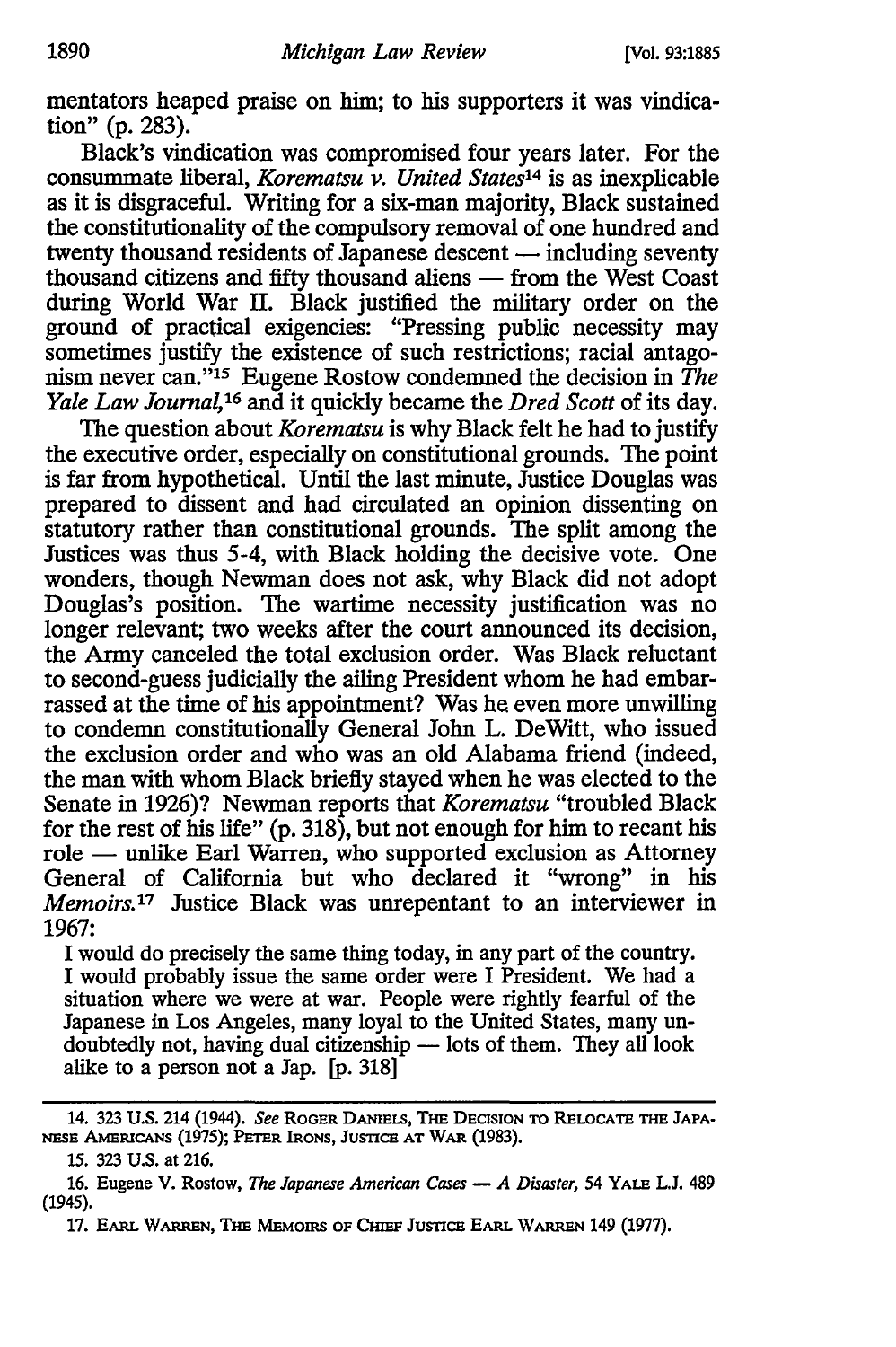mentators heaped praise on him; to his supporters it was vindication" (p. 283).

Black's vindication was compromised four years later. For the consummate liberal, *Korematsu v. United States14* is as inexplicable as it is disgraceful. Writing for a six-man majority, Black sustained the constitutionality of the compulsory removal of one hundred and twenty thousand residents of Japanese descent  $-$  including seventy thousand citizens and fifty thousand aliens - from the West Coast during World War II. Black justified the military order on the ground of practical exigencies: <sup>1</sup> 'Pressing public necessity may sometimes justify the existence of such restrictions; racial antagonism never can."15 Eugene Rostow condemned the decision in *The Yale Law Journal,16* and it quickly became the *Dred Scott* of its day.

The question about *Korematsu* is why Black felt he had to justify the executive order, especially on constitutional grounds. The point is far from hypothetical. Until the last minute, Justice Douglas was prepared to dissent and had circulated an opinion dissenting on statutory rather than constitutional grounds. The split among the Justices was thus 5-4, with Black holding the decisive vote. One wonders, though Newman does not ask, why Black did not adopt Douglas's position. The wartime necessity justification was no longer relevant; two weeks after the court announced its decision, the Army canceled the total exclusion order. Was Black reluctant to second-guess judicially the ailing President whom he had embarrassed at the time of his appointment? Was he even more unwilling to condemn constitutionally General John L. De Witt, who issued the exclusion order and who was an old Alabama friend (indeed, the man with whom Black briefly stayed when he was elected to the Senate in 1926)? Newman reports that *Korematsu* "troubled Black for the rest of his life" (p. 318), but not enough for him to recant his role — unlike Earl Warren, who supported exclusion as Attorney General of California but who declared it "wrong" in his *Memoirs.17* Justice Black was unrepentant to an interviewer in 1967:

I would do precisely the same thing today, in any part of the country. I would probably issue the same order were I President. We had a situation where we were at war. People were rightly fearful of the Japanese in Los Angeles, many loyal to the United States, many undoubtedly not, having dual citizenship - lots of them. They all look alike to a person not a Jap. [p. 318]

<sup>14. 323</sup> U.S. 214 (1944). *See* ROGER DANIELS, THE DECISION TO RELOCATE THE JAPA-NESE AMERICANS (1975); PETER IRONS, JUSTICE AT WAR (1983).

<sup>15. 323</sup> U.S. at 216.

<sup>16.</sup> Eugene V. Rostow, *The Japanese American Cases* - *A Disaster*, 54 YALE L.J. 489 (1945).

<sup>17.</sup> EARL WARREN, THE MEMOIRS OF CHIEF JUSTICE EARL WARREN 149 (1977).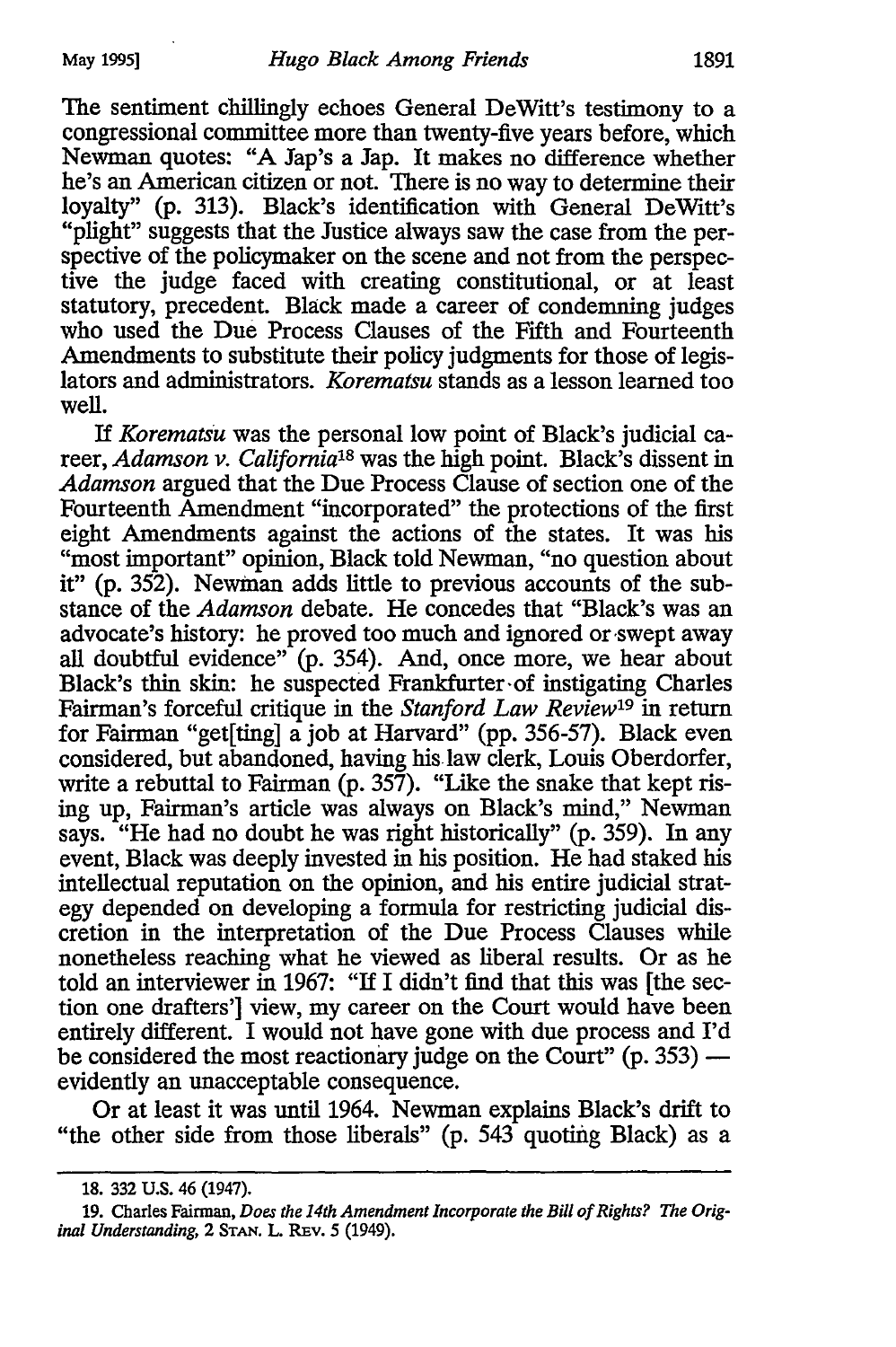The sentiment chillingly echoes General DeWitt's testimony to a congressional committee more than twenty-five years before, which Newman quotes: "A Jap's a Jap. It makes no difference whether he's an American citizen or not. There is no way to determine their loyalty" (p. 313). Black's identification with General DeWitt's "plight" suggests that the Justice always saw the case from the perspective of the policymaker on the scene and not from the perspective the judge faced with creating constitutional, or at least statutory, precedent. Black made a career of condemning judges who used the Due Process Clauses of the Fifth and Fourteenth Amendments to substitute their policy judgments for those of legislators and administrators. *Korematsu* stands as a lesson learned too well.

If *Korematsu* was the personal low point of Black's judicial career, *Adamson v. Califomia*1*s* was the high point. Black's dissent in *Adamson* argued that the Due Process Clause of section one of the Fourteenth Amendment "incorporated" the protections of the first eight Amendments against the actions of the states. It was his "most important" opinion, Black told Newman, "no question about it" (p. 352). Newman adds little to previous accounts of the substance of the *Adamson* debate. He concedes that "Black's was an advocate's history: he proved too much and ignored or swept away all doubtful evidence" (p. 354). And, once more, we hear about Black's thin skin: he suspected Frankfurter of instigating Charles Fairman's forceful critique in the *Stanford Law Review19* in return for Fairman "get[ting] a job at Harvard" (pp. 356-57). Black even considered, but abandoned, having his.law clerk, Louis Oberdorfer, write a rebuttal to Fairman  $(p. 357)$ . "Like the snake that kept rising up, Fairman's article was always on Black's mind," Newman says. "He had no doubt he was right historically" (p. 359). In any event, Black was deeply invested in his position. He had staked his intellectual reputation on the opinion, and his entire judicial strategy depended on developing a formula for restricting judicial discretion in the interpretation of the Due Process Clauses while nonetheless reaching what he viewed as liberal results. Or as he told an interviewer in 1967: "If I didn't find that this was [the section one drafters'] view, my career on the Court would have been entirely different. I would not have gone with due process and I'd be considered the most reactionary judge on the Court"  $(p. 353)$  evidently an unacceptable consequence.

Or at least it was until 1964. Newman explains Black's drift to "the other side from those liberals" (p. 543 quoting Black) as a

<sup>18. 332</sup> U.S. 46 {1947).

<sup>19.</sup> Charles Fainnan, *Does the 14th Amendment Incorporate the Bill of Rights? The Orig· inal Understanding,* 2 STAN. L. REv. 5 (1949).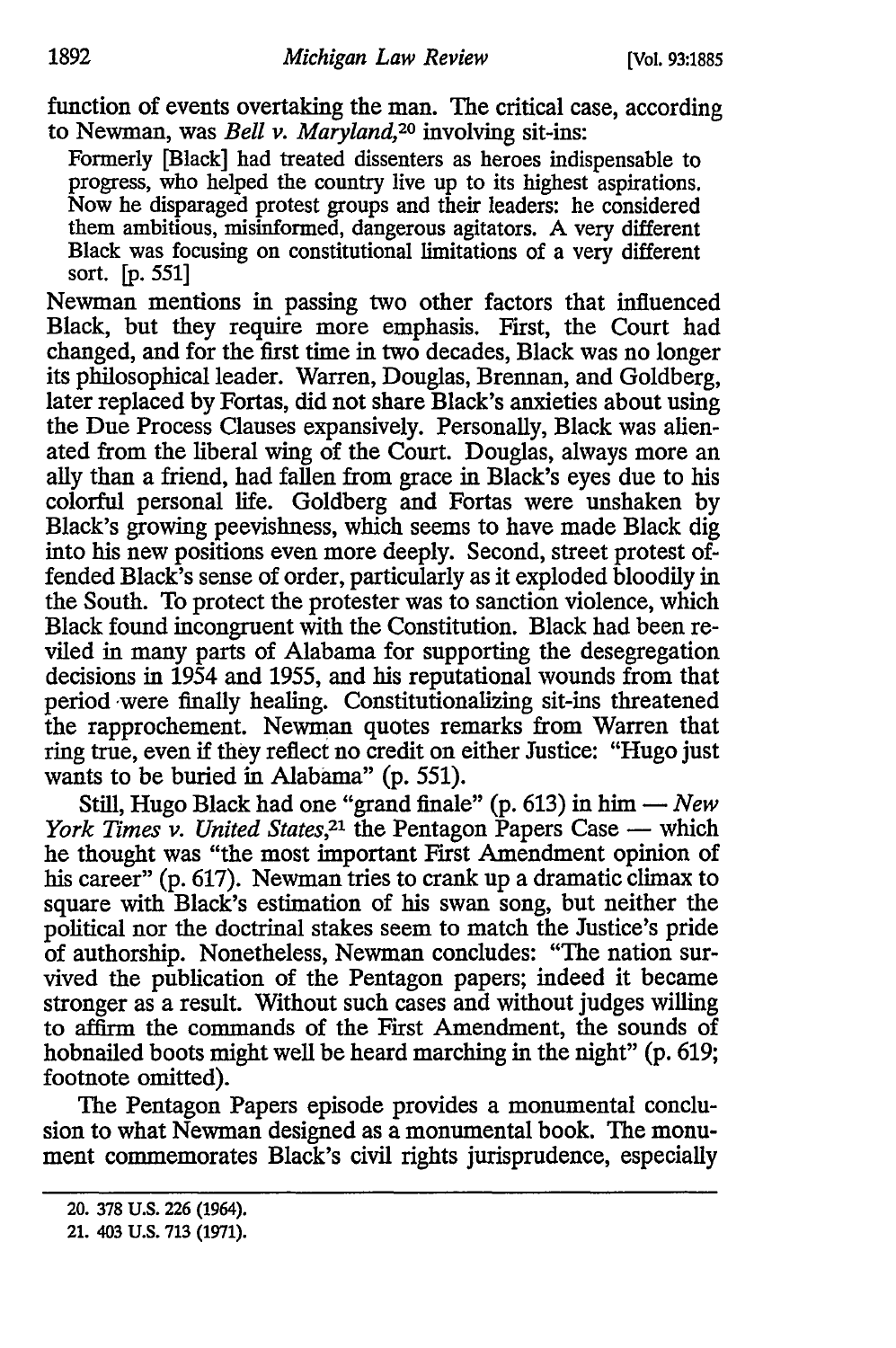function of events overtaking the man. The critical case, according to Newman, was *Bell v. Maryland,20* involving sit-ins:

Formerly [Black] had treated dissenters as heroes indispensable to progress, who helped the country live up to its highest aspirations. Now he disparaged protest groups and their leaders: he considered them ambitious, misinformed, dangerous agitators. A very different Black was focusing on constitutional limitations of a very different sort. [p. 551]

Newman mentions in passing two other factors that influenced Black, but they require more emphasis. First, the Court had changed, and for the first time in two decades, Black was no longer its philosophical leader. Warren, Douglas, Brennan, and Goldberg, later replaced by Fortas, did not share Black's anxieties about using the Due Process Clauses expansively. Personally, Black was alienated from the liberal wing of the Court. Douglas, always more an ally than a friend, had fallen from grace in Black's eyes due to his colorful personal life. Goldberg and Fortas were unshaken by Black's growing peevishness, which seems to have made Black dig into his new positions even more deeply. Second, street protest offended Black's sense of order, particularly as it exploded bloodily in the South. To protect the protester was to sanction violence, which Black found incongruent with the Constitution. Black had been reviled in many parts of Alabama for supporting the desegregation decisions in 1954 and 1955, and his reputational wounds from that period were finally healing. Constitutionalizing sit-ins threatened the rapprochement. Newman quotes remarks from Warren that ring true, even if they reflect no credit on either Justice: "Hugo just wants to be buried in Alabama" (p. 551).

Still, Hugo Black had one "grand finale" (p. 613) in him - New *York Times v. United States*,<sup>21</sup> the Pentagon Papers Case — which he thought was "the most important First Amendment opinion of his career" (p. 617). Newman tries to crank up a dramatic climax to square with Black's estimation of his swan song, but neither the political nor the doctrinal stakes seem to match the Justice's pride of authorship. Nonetheless, Newman concludes: "The nation survived the publication of the Pentagon papers; indeed it became stronger as a result. Without such cases and without judges willing to affirm the commands of the First Amendment, the sounds of hobnailed boots might well be heard marching in the night" (p. 619; footnote omitted).

The Pentagon Papers episode provides a monumental conclusion to what Newman designed as a monumental book. The monument commemorates Black's civil rights jurisprudence, especially

<sup>20. 378</sup> U.S. 226 {1964).

<sup>21. 403</sup> U.S. 713 (1971).